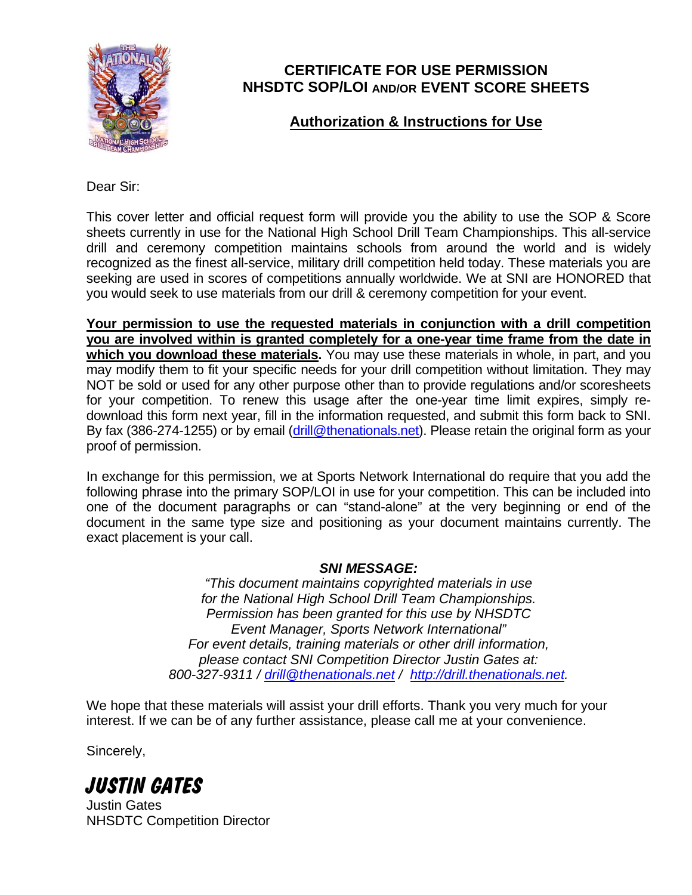

### **CERTIFICATE FOR USE PERMISSION NHSDTC SOP/LOI AND/OR EVENT SCORE SHEETS**

## **Authorization & Instructions for Use**

Dear Sir:

This cover letter and official request form will provide you the ability to use the SOP & Score sheets currently in use for the National High School Drill Team Championships. This all-service drill and ceremony competition maintains schools from around the world and is widely recognized as the finest all-service, military drill competition held today. These materials you are seeking are used in scores of competitions annually worldwide. We at SNI are HONORED that you would seek to use materials from our drill & ceremony competition for your event.

**Your permission to use the requested materials in conjunction with a drill competition you are involved within is granted completely for a one-year time frame from the date in which you download these materials.** You may use these materials in whole, in part, and you may modify them to fit your specific needs for your drill competition without limitation. They may NOT be sold or used for any other purpose other than to provide regulations and/or scoresheets for your competition. To renew this usage after the one-year time limit expires, simply redownload this form next year, fill in the information requested, and submit this form back to SNI. By fax (386-274-1255) or by email (drill@thenationals.net). Please retain the original form as your proof of permission.

In exchange for this permission, we at Sports Network International do require that you add the following phrase into the primary SOP/LOI in use for your competition. This can be included into one of the document paragraphs or can "stand-alone" at the very beginning or end of the document in the same type size and positioning as your document maintains currently. The exact placement is your call.

### *SNI MESSAGE:*

*"This document maintains copyrighted materials in use for the National High School Drill Team Championships. Permission has been granted for this use by NHSDTC Event Manager, Sports Network International" For event details, training materials or other drill information, please contact SNI Competition Director Justin Gates at: 800-327-9311 / drill@thenationals.net / http://drill.thenationals.net.* 

We hope that these materials will assist your drill efforts. Thank you very much for your interest. If we can be of any further assistance, please call me at your convenience.

Sincerely,

# **JUSTIN GATES**

Justin Gates NHSDTC Competition Director